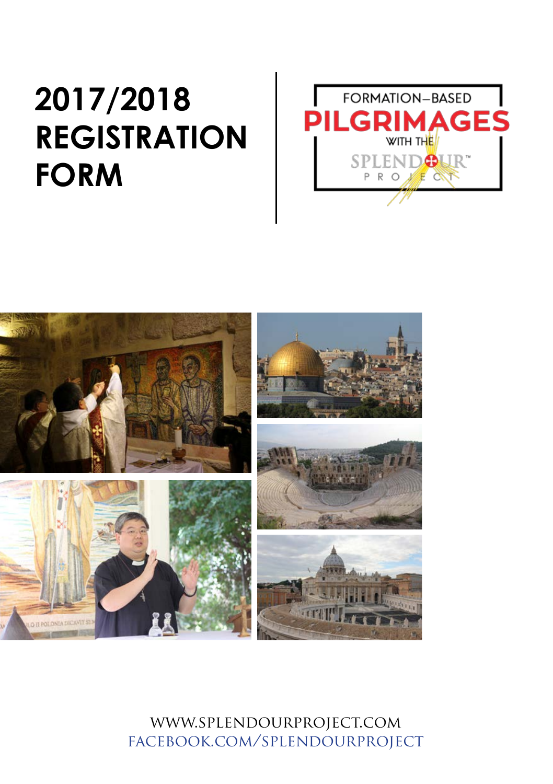### **2017/2018 REGISTRATION FORM**





www.splendourproject.com facebook.com/splendourproject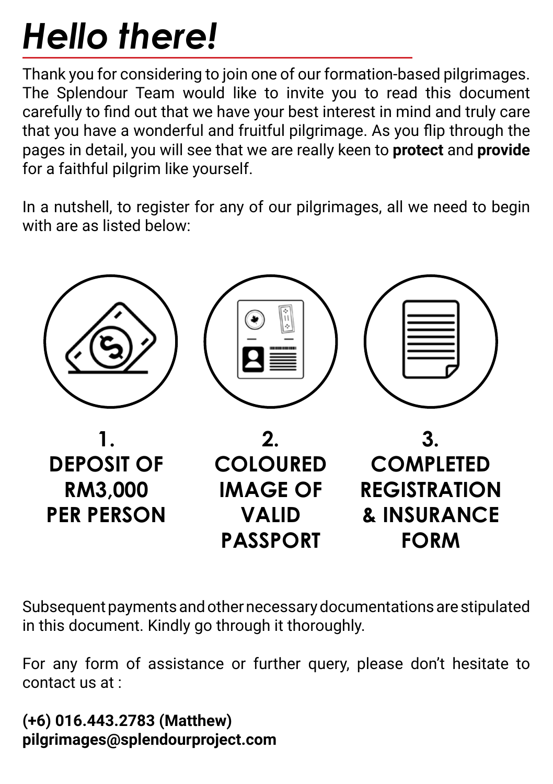# *Hello there!*

Thank you for considering to join one of our formation-based pilgrimages. The Splendour Team would like to invite you to read this document carefully to find out that we have your best interest in mind and truly care that you have a wonderful and fruitful pilgrimage. As you flip through the pages in detail, you will see that we are really keen to **protect** and **provide** for a faithful pilgrim like yourself.

In a nutshell, to register for any of our pilgrimages, all we need to begin with are as listed below:



Subsequent payments and other necessary documentations are stipulated in this document. Kindly go through it thoroughly.

For any form of assistance or further query, please don't hesitate to contact us at :

**(+6) 016.443.2783 (Matthew) pilgrimages@splendourproject.com**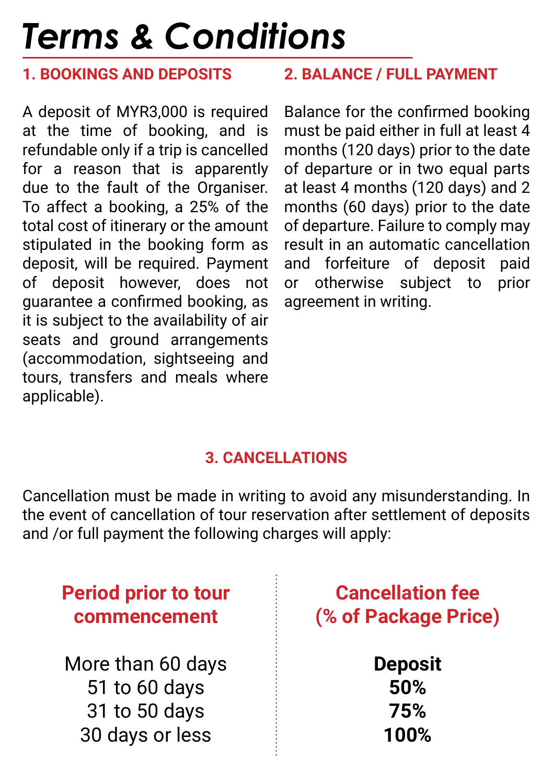## *Terms & Conditions*

#### **1. BOOKINGS AND DEPOSITS**

A deposit of MYR3,000 is required at the time of booking, and is refundable only if a trip is cancelled for a reason that is apparently due to the fault of the Organiser. To affect a booking, a 25% of the total cost of itinerary or the amount stipulated in the booking form as deposit, will be required. Payment of deposit however, does not guarantee a confirmed booking, as it is subject to the availability of air seats and ground arrangements (accommodation, sightseeing and tours, transfers and meals where applicable).

#### **2. BALANCE / FULL PAYMENT**

Balance for the confirmed booking must be paid either in full at least 4 months (120 days) prior to the date of departure or in two equal parts at least 4 months (120 days) and 2 months (60 days) prior to the date of departure. Failure to comply may result in an automatic cancellation and forfeiture of deposit paid or otherwise subject to prior agreement in writing.

#### **3. CANCELLATIONS**

Cancellation must be made in writing to avoid any misunderstanding. In the event of cancellation of tour reservation after settlement of deposits and /or full payment the following charges will apply:

| <b>Period prior to tour</b> | <b>Cancellation fee</b> |
|-----------------------------|-------------------------|
| commencement                | (% of Package Price)    |
| More than 60 days           | <b>Deposit</b>          |
| 51 to 60 days               | 50%                     |
| 31 to 50 days               | 75%                     |
| 30 days or less             | 100%                    |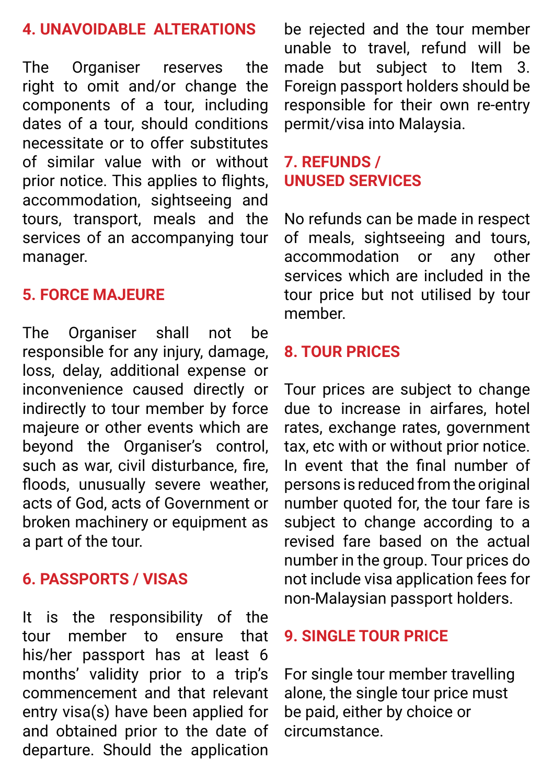#### **4. UNAVOIDABLE ALTERATIONS**

The Organiser reserves the right to omit and/or change the components of a tour, including dates of a tour, should conditions necessitate or to offer substitutes of similar value with or without prior notice. This applies to flights, accommodation, sightseeing and tours, transport, meals and the services of an accompanying tour manager.

#### **5. FORCE MAJEURE**

The Organiser shall not be responsible for any injury, damage, loss, delay, additional expense or inconvenience caused directly or indirectly to tour member by force majeure or other events which are beyond the Organiser's control, such as war, civil disturbance, fire, floods, unusually severe weather, acts of God, acts of Government or broken machinery or equipment as a part of the tour.

#### **6. PASSPORTS / VISAS**

It is the responsibility of the tour member to ensure that his/her passport has at least 6 months' validity prior to a trip's commencement and that relevant entry visa(s) have been applied for and obtained prior to the date of departure. Should the application

be rejected and the tour member unable to travel, refund will be made but subject to Item 3. Foreign passport holders should be responsible for their own re-entry permit/visa into Malaysia.

#### **7. REFUNDS / UNUSED SERVICES**

No refunds can be made in respect of meals, sightseeing and tours, accommodation or any other services which are included in the tour price but not utilised by tour member.

#### **8. TOUR PRICES**

Tour prices are subject to change due to increase in airfares, hotel rates, exchange rates, government tax, etc with or without prior notice. In event that the final number of persons is reduced from the original number quoted for, the tour fare is subject to change according to a revised fare based on the actual number in the group. Tour prices do not include visa application fees for non-Malaysian passport holders.

#### **9. SINGLE TOUR PRICE**

For single tour member travelling alone, the single tour price must be paid, either by choice or circumstance.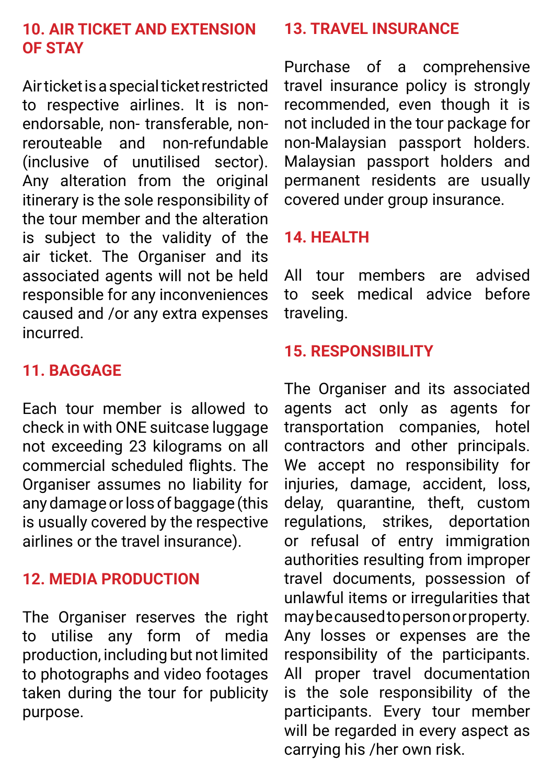#### **10. AIR TICKET AND EXTENSION OF STAY**

Air ticket is a special ticket restricted to respective airlines. It is nonendorsable, non-transferable, non-<br>rerouteable and non-refundable rerouteable and (inclusive of unutilised sector). Any alteration from the original itinerary is the sole responsibility of the tour member and the alteration is subject to the validity of the air ticket. The Organiser and its associated agents will not be held responsible for any inconveniences caused and /or any extra expenses incurred.

#### **11. BAGGAGE**

Each tour member is allowed to check in with ONE suitcase luggage not exceeding 23 kilograms on all commercial scheduled flights. The Organiser assumes no liability for any damage or loss of baggage (this is usually covered by the respective airlines or the travel insurance).

#### **12. MEDIA PRODUCTION**

The Organiser reserves the right to utilise any form of media production, including but not limited to photographs and video footages taken during the tour for publicity purpose.

#### **13. TRAVEL INSURANCE**

Purchase of a comprehensive travel insurance policy is strongly recommended, even though it is not included in the tour package for non-Malaysian passport holders. Malaysian passport holders and permanent residents are usually covered under group insurance.

#### **14. HEALTH**

All tour members are advised to seek medical advice before traveling.

#### **15. RESPONSIBILITY**

The Organiser and its associated agents act only as agents for transportation companies, hotel contractors and other principals. We accept no responsibility for injuries, damage, accident, loss, delay, quarantine, theft, custom regulations, strikes, deportation or refusal of entry immigration authorities resulting from improper travel documents, possession of unlawful items or irregularities that may be caused to person or property. Any losses or expenses are the responsibility of the participants. All proper travel documentation is the sole responsibility of the participants. Every tour member will be regarded in every aspect as carrying his /her own risk.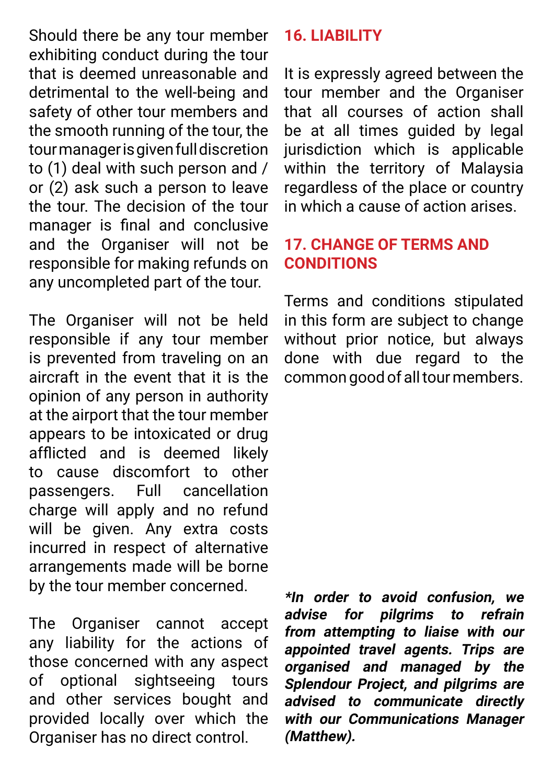Should there be any tour member exhibiting conduct during the tour that is deemed unreasonable and detrimental to the well-being and safety of other tour members and the smooth running of the tour, the tour manager is given full discretion to (1) deal with such person and / or (2) ask such a person to leave the tour. The decision of the tour manager is final and conclusive and the Organiser will not be responsible for making refunds on any uncompleted part of the tour.

The Organiser will not be held responsible if any tour member is prevented from traveling on an aircraft in the event that it is the opinion of any person in authority at the airport that the tour member appears to be intoxicated or drug afflicted and is deemed likely to cause discomfort to other passengers. Full cancellation charge will apply and no refund will be given. Any extra costs incurred in respect of alternative arrangements made will be borne by the tour member concerned.

The Organiser cannot accept any liability for the actions of those concerned with any aspect of optional sightseeing tours and other services bought and provided locally over which the Organiser has no direct control.

#### **16. LIABILITY**

It is expressly agreed between the tour member and the Organiser that all courses of action shall be at all times guided by legal jurisdiction which is applicable within the territory of Malaysia regardless of the place or country in which a cause of action arises.

#### **17. CHANGE OF TERMS AND CONDITIONS**

Terms and conditions stipulated in this form are subject to change without prior notice, but always done with due regard to the common good of all tour members.

**\*In order to avoid confusion, we advise for pilgrims to refrain from attempting to liaise with our appointed travel agents. Trips are organised and managed by the Splendour Project, and pilgrims are advised to communicate directly with our Communications Manager (Matthew).**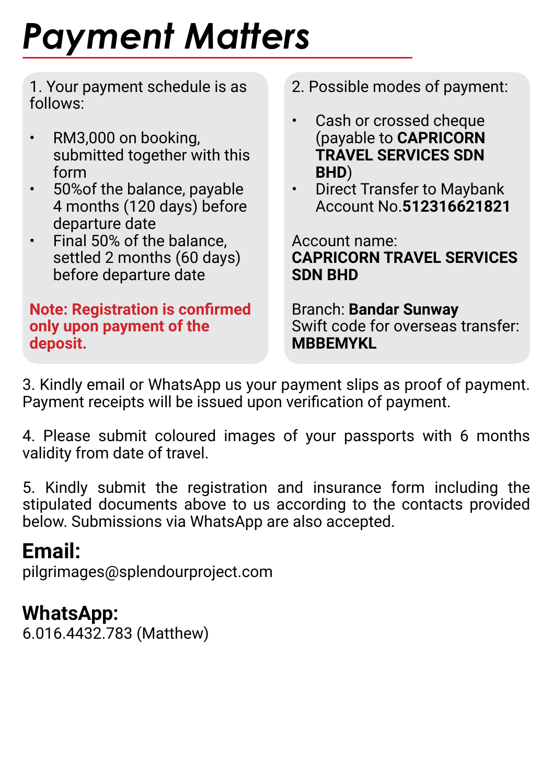# *Payment Matters*

1. Your payment schedule is as follows:

- RM3,000 on booking. submitted together with this form
- 50%of the balance, payable 4 months (120 days) before departure date
- Final 50% of the balance, settled 2 months (60 days) before departure date

#### **Note: Registration is confirmed only upon payment of the deposit.**

- 2. Possible modes of payment:
- Cash or crossed cheque (payable to **CAPRICORN TRAVEL SERVICES SDN BHD**)
- Direct Transfer to Maybank Account No.**512316621821**

Account name: **CAPRICORN TRAVEL SERVICES SDN BHD**

Branch: **Bandar Sunway** Swift code for overseas transfer: **MRRFMYKL** 

3. Kindly email or WhatsApp us your payment slips as proof of payment. Payment receipts will be issued upon verification of payment.

4. Please submit coloured images of your passports with 6 months validity from date of travel.

5. Kindly submit the registration and insurance form including the stipulated documents above to us according to the contacts provided below. Submissions via WhatsApp are also accepted.

### **Email:**

pilgrimages@splendourproject.com

### **WhatsApp:**

6.016.4432.783 (Matthew)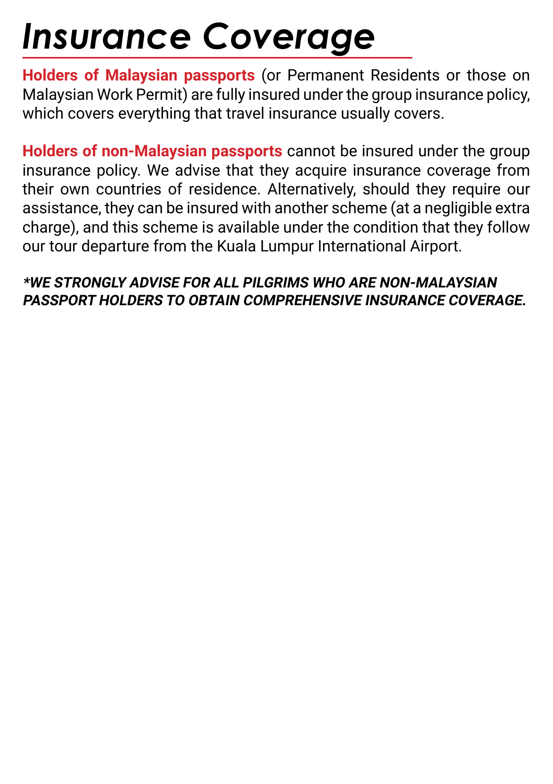## *Insurance Coverage*

**Holders of Malaysian passports** (or Permanent Residents or those on Malaysian Work Permit) are fully insured under the group insurance policy, which covers everything that travel insurance usually covers.

**Holders of non-Malaysian passports** cannot be insured under the group insurance policy. We advise that they acquire insurance coverage from their own countries of residence. Alternatively, should they require our assistance, they can be insured with another scheme (at a negligible extra charge), and this scheme is available under the condition that they follow our tour departure from the Kuala Lumpur International Airport.

#### **\*WE STRONGLY ADVISE FOR ALL PILGRIMS WHO ARE NON-MALAYSIAN PASSPORT HOLDERS TO OBTAIN COMPREHENSIVE INSURANCE COVERAGE.**